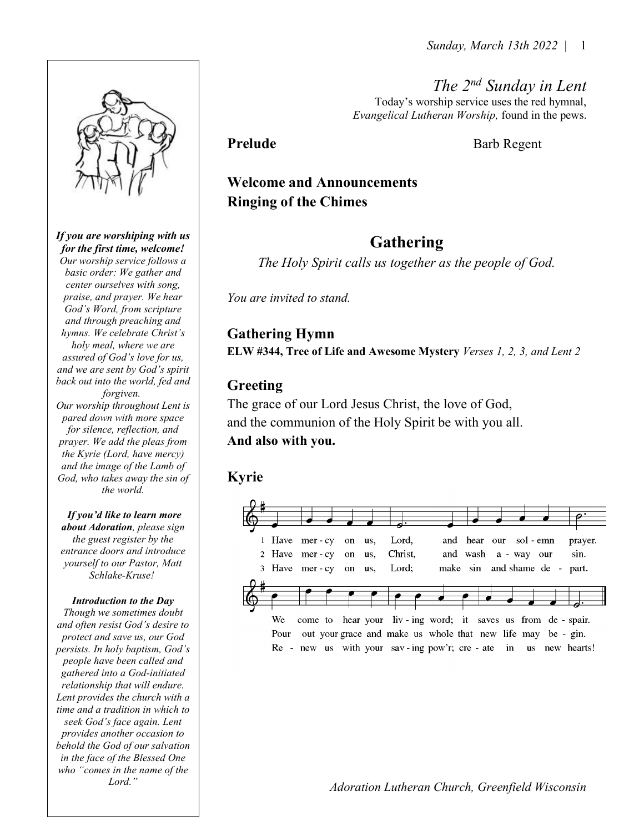The 2<sup>nd</sup> Sunday in Lent Today's worship service uses the red hymnal, Evangelical Lutheran Worship, found in the pews.

Prelude Barb Regent

## Welcome and Announcements Ringing of the Chimes

## Gathering

The Holy Spirit calls us together as the people of God.

You are invited to stand.

### Gathering Hymn

ELW #344, Tree of Life and Awesome Mystery Verses 1, 2, 3, and Lent 2

### Greeting

The grace of our Lord Jesus Christ, the love of God, and the communion of the Holy Spirit be with you all. And also with you.

## Kyrie





If you are worshiping with us for the first time, welcome!

Our worship service follows a basic order: We gather and center ourselves with song, praise, and prayer. We hear God's Word, from scripture and through preaching and hymns. We celebrate Christ's holy meal, where we are assured of God's love for us, and we are sent by God's spirit back out into the world, fed and forgiven. Our worship throughout Lent is pared down with more space for silence, reflection, and prayer. We add the pleas from the Kyrie (Lord, have mercy) and the image of the Lamb of God, who takes away the sin of the world.

If you'd like to learn more about Adoration, please sign the guest register by the entrance doors and introduce yourself to our Pastor, Matt Schlake-Kruse!

#### Introduction to the Day

Though we sometimes doubt and often resist God's desire to protect and save us, our God persists. In holy baptism, God's people have been called and gathered into a God-initiated relationship that will endure. Lent provides the church with a time and a tradition in which to seek God's face again. Lent provides another occasion to behold the God of our salvation in the face of the Blessed One who "comes in the name of the Lord."

Adoration Lutheran Church, Greenfield Wisconsin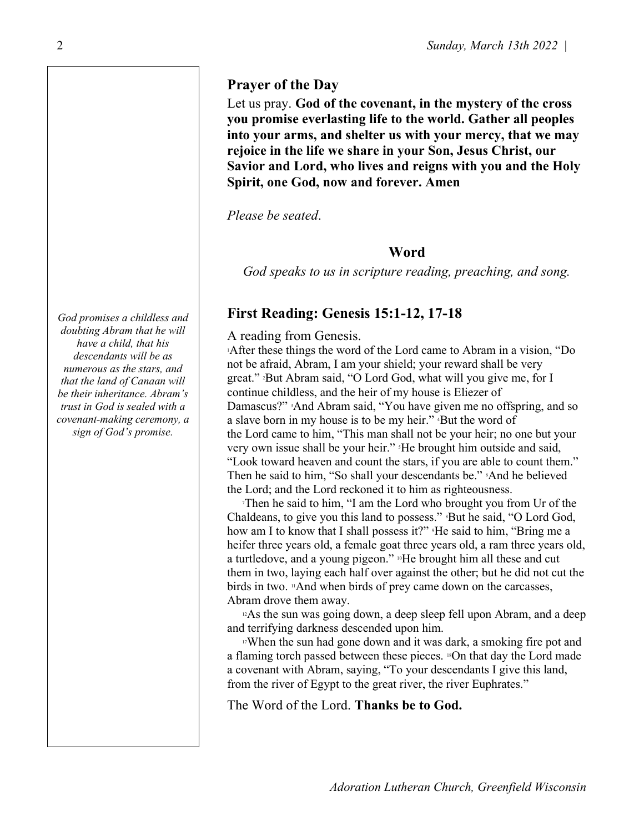#### Prayer of the Day

Let us pray. God of the covenant, in the mystery of the cross you promise everlasting life to the world. Gather all peoples into your arms, and shelter us with your mercy, that we may rejoice in the life we share in your Son, Jesus Christ, our Savior and Lord, who lives and reigns with you and the Holy Spirit, one God, now and forever. Amen

Please be seated.

#### **Word**

God speaks to us in scripture reading, preaching, and song.

### First Reading: Genesis 15:1-12, 17-18

#### A reading from Genesis.

<sup>1</sup>After these things the word of the Lord came to Abram in a vision, "Do not be afraid, Abram, I am your shield; your reward shall be very great." 2But Abram said, "O Lord God, what will you give me, for I continue childless, and the heir of my house is Eliezer of Damascus?" <sup>3</sup>And Abram said, "You have given me no offspring, and so a slave born in my house is to be my heir." 4But the word of the Lord came to him, "This man shall not be your heir; no one but your very own issue shall be your heir." He brought him outside and said, "Look toward heaven and count the stars, if you are able to count them." Then he said to him, "So shall your descendants be." And he believed the Lord; and the Lord reckoned it to him as righteousness.

<sup>7</sup>Then he said to him, "I am the Lord who brought you from Ur of the Chaldeans, to give you this land to possess." <sup>8</sup>But he said, "O Lord God, how am I to know that I shall possess it?" <sup>9</sup>He said to him, "Bring me a heifer three years old, a female goat three years old, a ram three years old, a turtledove, and a young pigeon." <sup>10</sup>He brought him all these and cut them in two, laying each half over against the other; but he did not cut the birds in two. <sup>11</sup>And when birds of prey came down on the carcasses, Abram drove them away.

<sup>12</sup>As the sun was going down, a deep sleep fell upon Abram, and a deep and terrifying darkness descended upon him.

<sup>17</sup>When the sun had gone down and it was dark, a smoking fire pot and a flaming torch passed between these pieces. 18On that day the Lord made a covenant with Abram, saying, "To your descendants I give this land, from the river of Egypt to the great river, the river Euphrates."

The Word of the Lord. Thanks be to God.

God promises a childless and doubting Abram that he will have a child, that his descendants will be as numerous as the stars, and that the land of Canaan will be their inheritance. Abram's trust in God is sealed with a covenant-making ceremony, a sign of God's promise.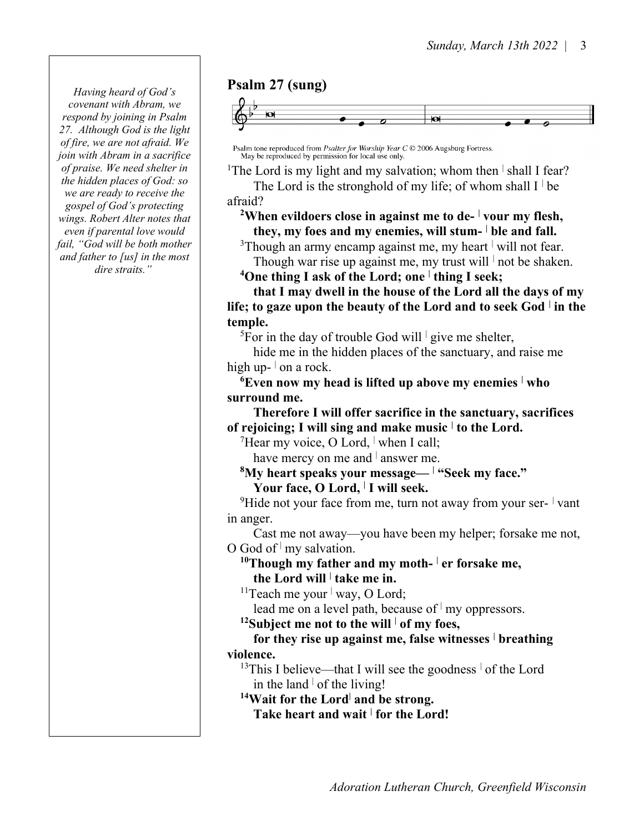Having heard of God's covenant with Abram, we respond by joining in Psalm 27. Although God is the light of fire, we are not afraid. We join with Abram in a sacrifice of praise. We need shelter in the hidden places of God: so we are ready to receive the gospel of God's protecting wings. Robert Alter notes that even if parental love would fail, "God will be both mother and father to [us] in the most dire straits."

#### Psalm 27 (sung)



Psalm tone reproduced from *Psalter for Worship Year C*  $\odot$  2006 Augsburg Fortress.<br>May be reproduced by permission for local use only.

<sup>1</sup>The Lord is my light and my salvation; whom then  $\frac{1}{1}$  shall I fear? The Lord is the stronghold of my life; of whom shall  $I^{\dagger}$  be

afraid?

<sup>2</sup>When evildoers close in against me to de- $\frac{1}{2}$  vour my flesh, they, my foes and my enemies, will stum- ble and fall.

<sup>3</sup>Though an army encamp against me, my heart  $\vert$  will not fear. Though war rise up against me, my trust will  $\vert$  not be shaken.

<sup>4</sup>One thing I ask of the Lord; one  $\frac{1}{2}$  thing I seek;

 that I may dwell in the house of the Lord all the days of my life; to gaze upon the beauty of the Lord and to seek God  $\vert$  in the temple.

<sup>5</sup>For in the day of trouble God will  $\frac{1}{2}$  give me shelter,

 hide me in the hidden places of the sanctuary, and raise me high up- $\vert$  on a rock.

 $^6$ Even now my head is lifted up above my enemies  $\perp$ who surround me.

 Therefore I will offer sacrifice in the sanctuary, sacrifices of rejoicing; I will sing and make music  $\dagger$  to the Lord.

 $7$ Hear my voice, O Lord, when I call;

have mercy on me and  $\vert$  answer me.

 ${}^{8}{\rm My}$  heart speaks your message—  $|$  "Seek my face." Your face, O Lord, <sup>|</sup> I will seek.

<sup>9</sup>Hide not your face from me, turn not away from your ser-  $\frac{1}{1}$  vant in anger.

 Cast me not away—you have been my helper; forsake me not, O God of  $\mid$  my salvation.

<sup>10</sup>Though my father and my moth- $\frac{1}{1}$ er forsake me, the Lord will  $\vert$  take me in.

<sup>11</sup>Teach me your  $\vert$  way, O Lord;

lead me on a level path, because of  $\vert$  my oppressors.

<sup>12</sup>Subject me not to the will  $\frac{1}{1}$  of my foes,

for they rise up against me, false witnesses  $\vert$  breathing violence.

<sup>13</sup>This I believe—that I will see the goodness  $\frac{1}{1}$  of the Lord in the land  $\vert$  of the living!

 $14$ Wait for the Lord<sup>|</sup> and be strong.

Take heart and wait  $\frac{1}{1}$  for the Lord!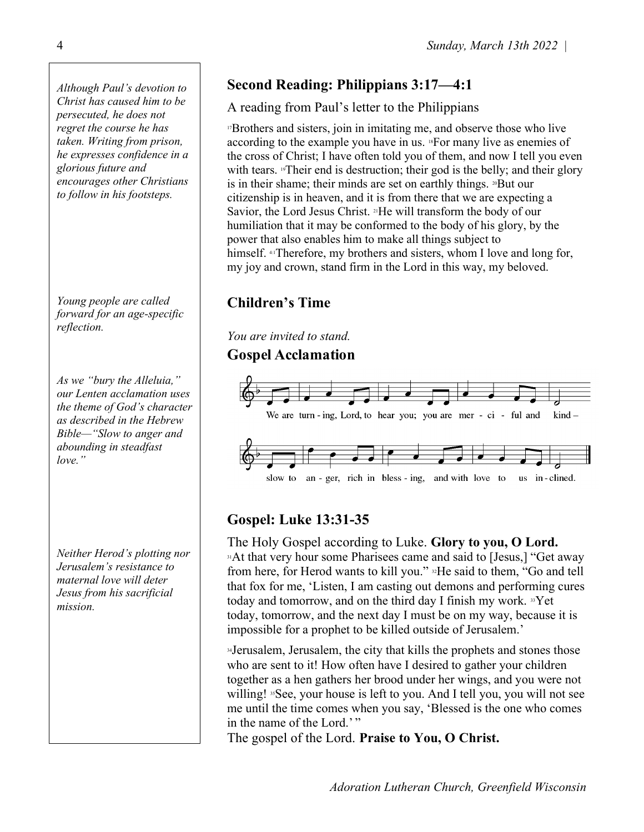Although Paul's devotion to Christ has caused him to be persecuted, he does not regret the course he has taken. Writing from prison, he expresses confidence in a glorious future and encourages other Christians to follow in his footsteps.

Young people are called forward for an age-specific reflection.

As we "bury the Alleluia," our Lenten acclamation uses the theme of God's character as described in the Hebrew Bible—"Slow to anger and abounding in steadfast love."

Neither Herod's plotting nor Jerusalem's resistance to maternal love will deter Jesus from his sacrificial mission.

# Second Reading: Philippians 3:17—4:1

#### A reading from Paul's letter to the Philippians

<sup>17</sup>Brothers and sisters, join in imitating me, and observe those who live according to the example you have in us. 18For many live as enemies of the cross of Christ; I have often told you of them, and now I tell you even with tears. <sup>19</sup>Their end is destruction; their god is the belly; and their glory is in their shame; their minds are set on earthly things. 20But our citizenship is in heaven, and it is from there that we are expecting a Savior, the Lord Jesus Christ. <sup>21</sup>He will transform the body of our humiliation that it may be conformed to the body of his glory, by the power that also enables him to make all things subject to himself. 4:1Therefore, my brothers and sisters, whom I love and long for, my joy and crown, stand firm in the Lord in this way, my beloved.

## Children's Time

You are invited to stand.

#### Gospel Acclamation



## Gospel: Luke 13:31-35

The Holy Gospel according to Luke. Glory to you, O Lord. <sup>31</sup>At that very hour some Pharisees came and said to [Jesus,] "Get away from here, for Herod wants to kill you." <sup>32</sup>He said to them, "Go and tell that fox for me, 'Listen, I am casting out demons and performing cures today and tomorrow, and on the third day I finish my work. <sup>33</sup>Yet today, tomorrow, and the next day I must be on my way, because it is impossible for a prophet to be killed outside of Jerusalem.'

<sup>34</sup>Jerusalem, Jerusalem, the city that kills the prophets and stones those who are sent to it! How often have I desired to gather your children together as a hen gathers her brood under her wings, and you were not willing! <sup>35</sup>See, your house is left to you. And I tell you, you will not see me until the time comes when you say, 'Blessed is the one who comes in the name of the Lord.'"

The gospel of the Lord. Praise to You, O Christ.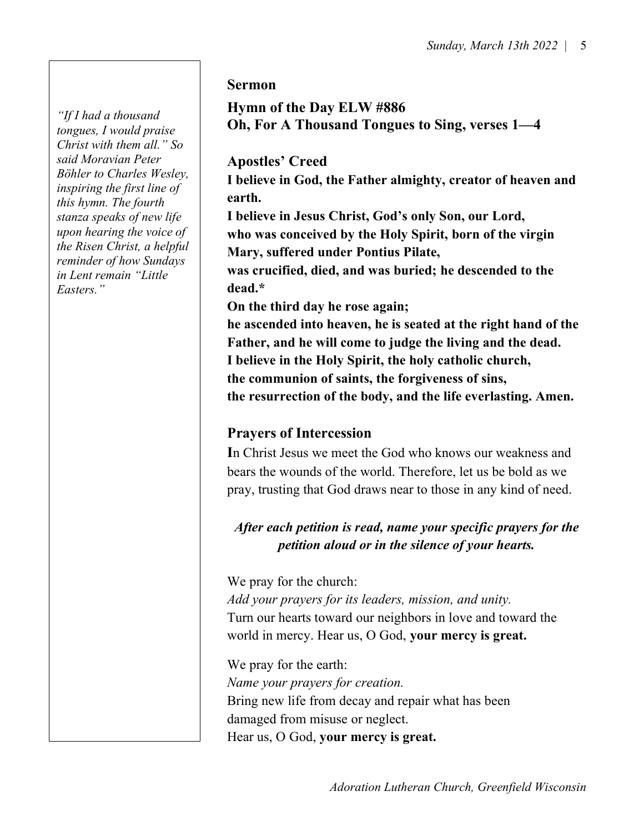"If I had a thousand tongues, I would praise Christ with them all." So said Moravian Peter Böhler to Charles Wesley, inspiring the first line of this hymn. The fourth stanza speaks of new life upon hearing the voice of the Risen Christ, a helpful reminder of how Sundays in Lent remain "Little Easters."

#### Sermon

Hymn of the Day ELW #886 Oh, For A Thousand Tongues to Sing, verses 1—4

#### Apostles' Creed

I believe in God, the Father almighty, creator of heaven and earth.

I believe in Jesus Christ, God's only Son, our Lord, who was conceived by the Holy Spirit, born of the virgin Mary, suffered under Pontius Pilate,

was crucified, died, and was buried; he descended to the dead.\*

On the third day he rose again;

he ascended into heaven, he is seated at the right hand of the Father, and he will come to judge the living and the dead. I believe in the Holy Spirit, the holy catholic church, the communion of saints, the forgiveness of sins, the resurrection of the body, and the life everlasting. Amen.

#### Prayers of Intercession

In Christ Jesus we meet the God who knows our weakness and bears the wounds of the world. Therefore, let us be bold as we pray, trusting that God draws near to those in any kind of need.

### After each petition is read, name your specific prayers for the petition aloud or in the silence of your hearts.

We pray for the church: Add your prayers for its leaders, mission, and unity. Turn our hearts toward our neighbors in love and toward the world in mercy. Hear us, O God, your mercy is great.

We pray for the earth: Name your prayers for creation. Bring new life from decay and repair what has been damaged from misuse or neglect. Hear us, O God, your mercy is great.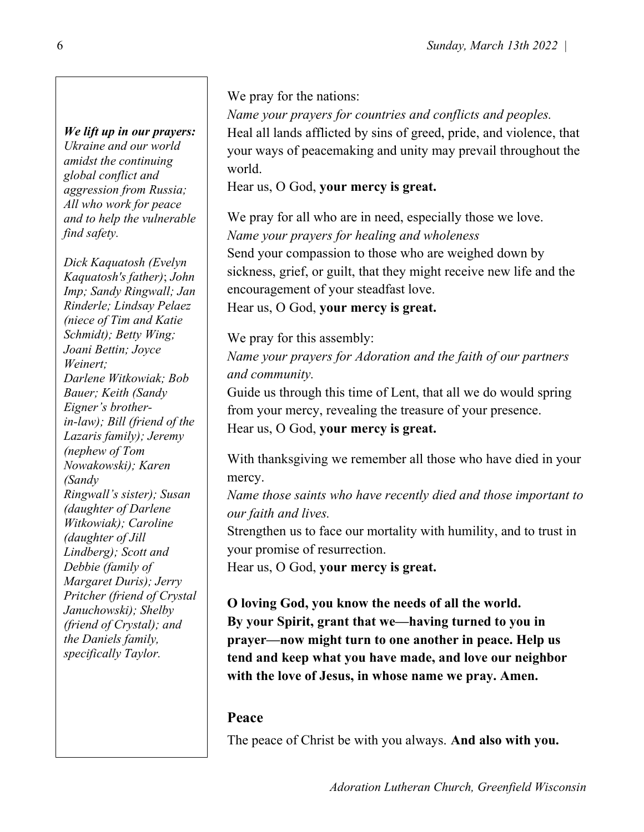# We lift up in our prayers:

Ukraine and our world amidst the continuing global conflict and aggression from Russia; All who work for peace and to help the vulnerable find safety.

Dick Kaquatosh (Evelyn Kaquatosh's father); John Imp; Sandy Ringwall; Jan Rinderle; Lindsay Pelaez (niece of Tim and Katie Schmidt); Betty Wing; Joani Bettin; Joyce Weinert; Darlene Witkowiak; Bob Bauer; Keith (Sandy Eigner's brotherin-law); Bill (friend of the Lazaris family); Jeremy (nephew of Tom Nowakowski); Karen (Sandy Ringwall's sister); Susan (daughter of Darlene Witkowiak); Caroline (daughter of Jill Lindberg); Scott and Debbie (family of Margaret Duris); Jerry Pritcher (friend of Crystal Januchowski); Shelby (friend of Crystal); and the Daniels family, specifically Taylor.

We pray for the nations:

Name your prayers for countries and conflicts and peoples. Heal all lands afflicted by sins of greed, pride, and violence, that your ways of peacemaking and unity may prevail throughout the world.

Hear us, O God, your mercy is great.

We pray for all who are in need, especially those we love. Name your prayers for healing and wholeness Send your compassion to those who are weighed down by sickness, grief, or guilt, that they might receive new life and the encouragement of your steadfast love.

Hear us, O God, your mercy is great.

We pray for this assembly:

Name your prayers for Adoration and the faith of our partners and community.

Guide us through this time of Lent, that all we do would spring from your mercy, revealing the treasure of your presence. Hear us, O God, your mercy is great.

With thanksgiving we remember all those who have died in your mercy.

Name those saints who have recently died and those important to our faith and lives.

Strengthen us to face our mortality with humility, and to trust in your promise of resurrection.

Hear us, O God, your mercy is great.

O loving God, you know the needs of all the world. By your Spirit, grant that we—having turned to you in prayer—now might turn to one another in peace. Help us tend and keep what you have made, and love our neighbor with the love of Jesus, in whose name we pray. Amen.

## Peace

The peace of Christ be with you always. And also with you.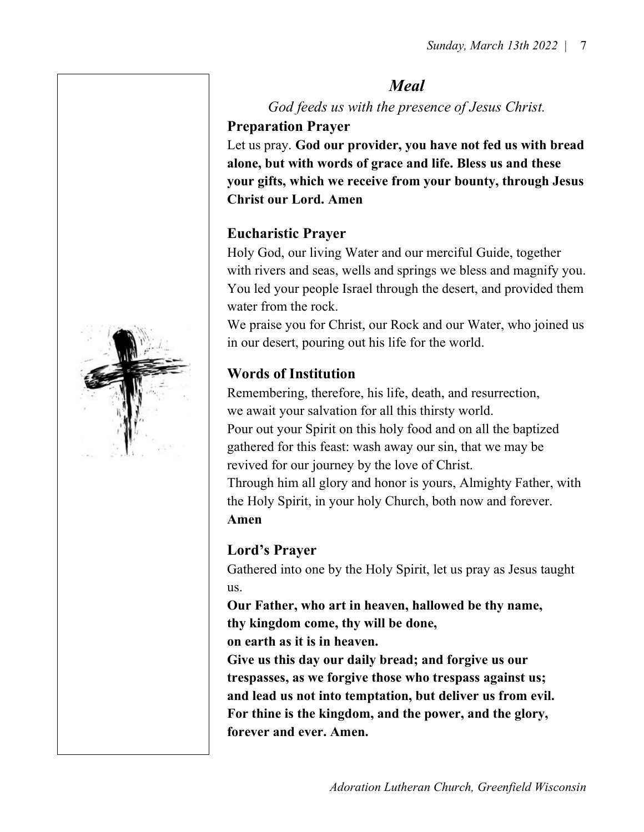#### Meal

God feeds us with the presence of Jesus Christ. Preparation Prayer

Let us pray. God our provider, you have not fed us with bread alone, but with words of grace and life. Bless us and these your gifts, which we receive from your bounty, through Jesus Christ our Lord. Amen

### Eucharistic Prayer

Holy God, our living Water and our merciful Guide, together with rivers and seas, wells and springs we bless and magnify you. You led your people Israel through the desert, and provided them water from the rock.

We praise you for Christ, our Rock and our Water, who joined us in our desert, pouring out his life for the world.

## Words of Institution

Remembering, therefore, his life, death, and resurrection, we await your salvation for all this thirsty world. Pour out your Spirit on this holy food and on all the baptized gathered for this feast: wash away our sin, that we may be revived for our journey by the love of Christ. Through him all glory and honor is yours, Almighty Father, with the Holy Spirit, in your holy Church, both now and forever. Amen

## Lord's Prayer

Gathered into one by the Holy Spirit, let us pray as Jesus taught us.

Our Father, who art in heaven, hallowed be thy name, thy kingdom come, thy will be done,

on earth as it is in heaven.

Give us this day our daily bread; and forgive us our trespasses, as we forgive those who trespass against us; and lead us not into temptation, but deliver us from evil. For thine is the kingdom, and the power, and the glory, forever and ever. Amen.

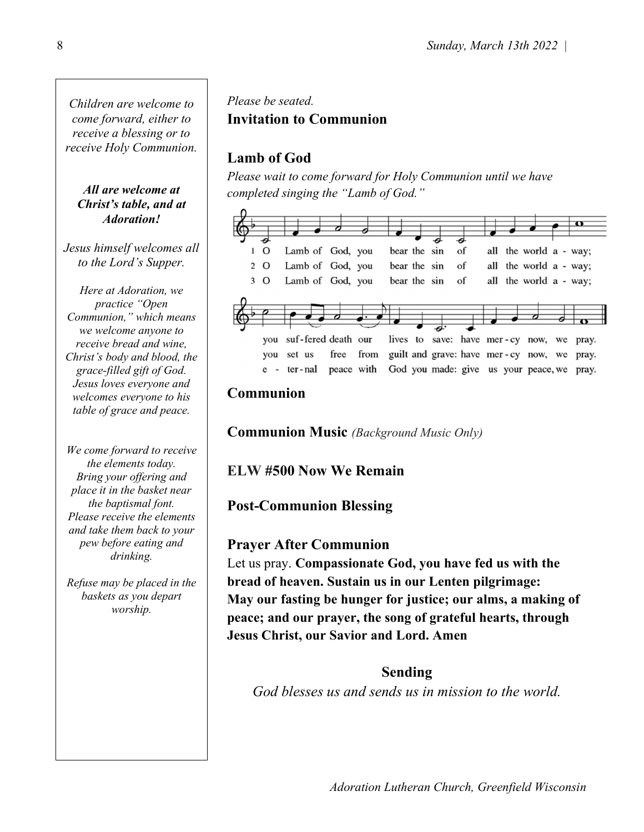Children are welcome to come forward, either to receive a blessing or to receive Holy Communion.

All are welcome at Christ's table, and at Adoration!

Jesus himself welcomes all to the Lord's Supper.

Here at Adoration, we practice "Open Communion," which means we welcome anyone to receive bread and wine, Christ's body and blood, the grace-filled gift of God. Jesus loves everyone and welcomes everyone to his table of grace and peace.

We come forward to receive the elements today. Bring your offering and place it in the basket near the baptismal font. Please receive the elements and take them back to your pew before eating and drinking.

Refuse may be placed in the baskets as you depart worship.

### Please be seated. Invitation to Communion

## Lamb of God

Please wait to come forward for Holy Communion until we have completed singing the "Lamb of God."



#### Communion

Communion Music (Background Music Only)

#### ELW #500 Now We Remain

#### Post-Communion Blessing

#### Prayer After Communion

Let us pray. Compassionate God, you have fed us with the bread of heaven. Sustain us in our Lenten pilgrimage: May our fasting be hunger for justice; our alms, a making of peace; and our prayer, the song of grateful hearts, through Jesus Christ, our Savior and Lord. Amen

#### Sending

God blesses us and sends us in mission to the world.

Adoration Lutheran Church, Greenfield Wisconsin